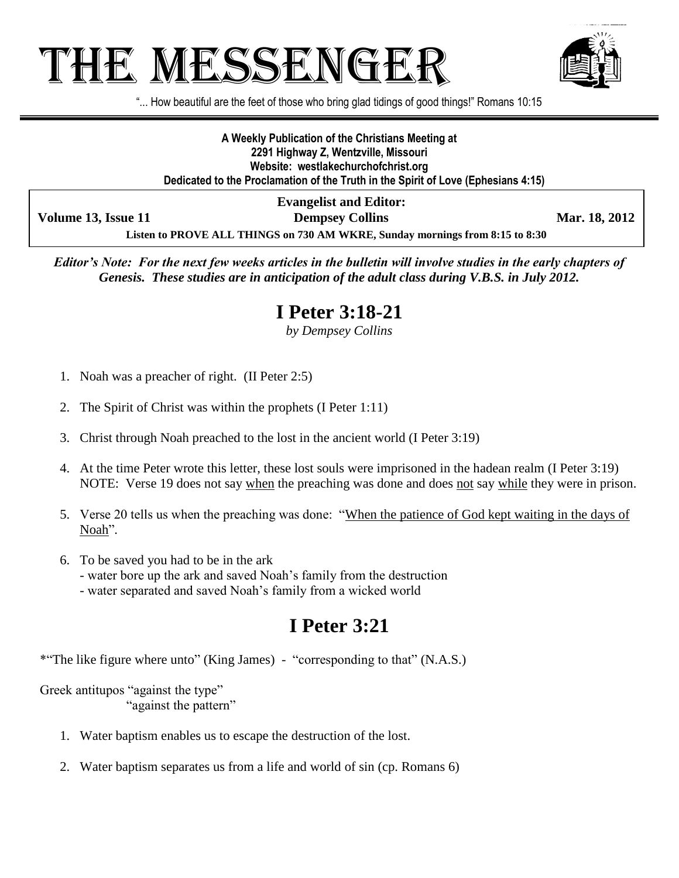# The Messenger



"... How beautiful are the feet of those who bring glad tidings of good things!" Romans 10:15

**A Weekly Publication of the Christians Meeting at 2291 Highway Z, Wentzville, Missouri Website: westlakechurchofchrist.org Dedicated to the Proclamation of the Truth in the Spirit of Love (Ephesians 4:15)**

**Volume 13, Issue 11 Dempsey Collins Mar. 18, 2012** 

**Evangelist and Editor:**

**Listen to PROVE ALL THINGS on 730 AM WKRE, Sunday mornings from 8:15 to 8:30**

*Editor's Note: For the next few weeks articles in the bulletin will involve studies in the early chapters of Genesis. These studies are in anticipation of the adult class during V.B.S. in July 2012.*

#### **I Peter 3:18-21**

*by Dempsey Collins*

- 1. Noah was a preacher of right. (II Peter 2:5)
- 2. The Spirit of Christ was within the prophets (I Peter 1:11)
- 3. Christ through Noah preached to the lost in the ancient world (I Peter 3:19)
- 4. At the time Peter wrote this letter, these lost souls were imprisoned in the hadean realm (I Peter 3:19) NOTE: Verse 19 does not say when the preaching was done and does not say while they were in prison.
- 5. Verse 20 tells us when the preaching was done: "When the patience of God kept waiting in the days of Noah".
- 6. To be saved you had to be in the ark - water bore up the ark and saved Noah's family from the destruction
	- water separated and saved Noah's family from a wicked world

## **I Peter 3:21**

\*"The like figure where unto" (King James) - "corresponding to that" (N.A.S.)

Greek antitupos "against the type" "against the pattern"

- 1. Water baptism enables us to escape the destruction of the lost.
- 2. Water baptism separates us from a life and world of sin (cp. Romans 6)